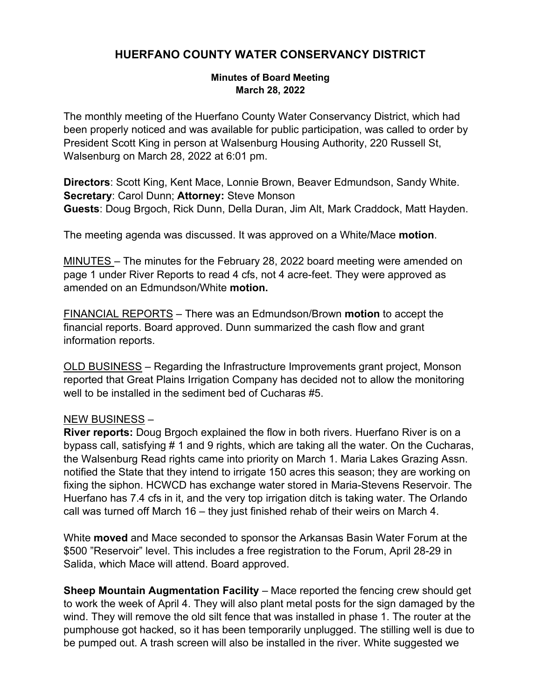## **HUERFANO COUNTY WATER CONSERVANCY DISTRICT**

## **Minutes of Board Meeting March 28, 2022**

The monthly meeting of the Huerfano County Water Conservancy District, which had been properly noticed and was available for public participation, was called to order by President Scott King in person at Walsenburg Housing Authority, 220 Russell St, Walsenburg on March 28, 2022 at 6:01 pm.

**Directors**: Scott King, Kent Mace, Lonnie Brown, Beaver Edmundson, Sandy White. **Secretary**: Carol Dunn; **Attorney:** Steve Monson **Guests**: Doug Brgoch, Rick Dunn, Della Duran, Jim Alt, Mark Craddock, Matt Hayden.

The meeting agenda was discussed. It was approved on a White/Mace **motion**.

MINUTES – The minutes for the February 28, 2022 board meeting were amended on page 1 under River Reports to read 4 cfs, not 4 acre-feet. They were approved as amended on an Edmundson/White **motion.** 

FINANCIAL REPORTS – There was an Edmundson/Brown **motion** to accept the financial reports. Board approved. Dunn summarized the cash flow and grant information reports.

OLD BUSINESS – Regarding the Infrastructure Improvements grant project, Monson reported that Great Plains Irrigation Company has decided not to allow the monitoring well to be installed in the sediment bed of Cucharas #5.

## NEW BUSINESS –

**River reports:** Doug Brgoch explained the flow in both rivers. Huerfano River is on a bypass call, satisfying # 1 and 9 rights, which are taking all the water. On the Cucharas, the Walsenburg Read rights came into priority on March 1. Maria Lakes Grazing Assn. notified the State that they intend to irrigate 150 acres this season; they are working on fixing the siphon. HCWCD has exchange water stored in Maria-Stevens Reservoir. The Huerfano has 7.4 cfs in it, and the very top irrigation ditch is taking water. The Orlando call was turned off March 16 – they just finished rehab of their weirs on March 4.

White **moved** and Mace seconded to sponsor the Arkansas Basin Water Forum at the \$500 "Reservoir" level. This includes a free registration to the Forum, April 28-29 in Salida, which Mace will attend. Board approved.

**Sheep Mountain Augmentation Facility** – Mace reported the fencing crew should get to work the week of April 4. They will also plant metal posts for the sign damaged by the wind. They will remove the old silt fence that was installed in phase 1. The router at the pumphouse got hacked, so it has been temporarily unplugged. The stilling well is due to be pumped out. A trash screen will also be installed in the river. White suggested we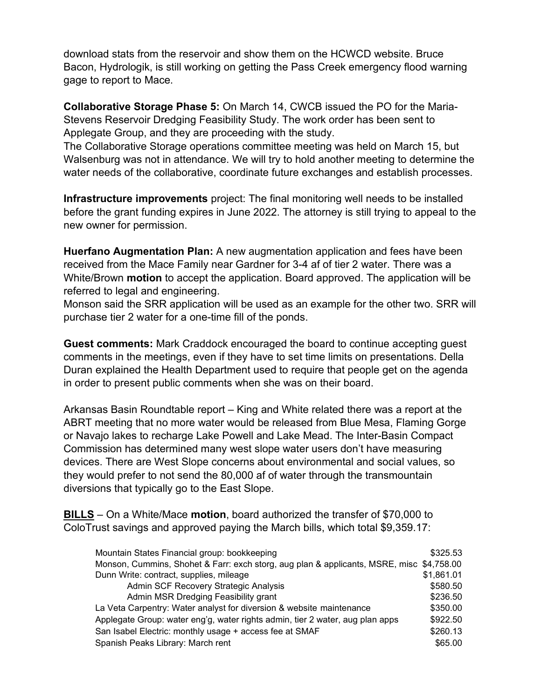download stats from the reservoir and show them on the HCWCD website. Bruce Bacon, Hydrologik, is still working on getting the Pass Creek emergency flood warning gage to report to Mace.

**Collaborative Storage Phase 5:** On March 14, CWCB issued the PO for the Maria-Stevens Reservoir Dredging Feasibility Study. The work order has been sent to Applegate Group, and they are proceeding with the study.

The Collaborative Storage operations committee meeting was held on March 15, but Walsenburg was not in attendance. We will try to hold another meeting to determine the water needs of the collaborative, coordinate future exchanges and establish processes.

**Infrastructure improvements** project: The final monitoring well needs to be installed before the grant funding expires in June 2022. The attorney is still trying to appeal to the new owner for permission.

**Huerfano Augmentation Plan:** A new augmentation application and fees have been received from the Mace Family near Gardner for 3-4 af of tier 2 water. There was a White/Brown **motion** to accept the application. Board approved. The application will be referred to legal and engineering.

Monson said the SRR application will be used as an example for the other two. SRR will purchase tier 2 water for a one-time fill of the ponds.

**Guest comments:** Mark Craddock encouraged the board to continue accepting guest comments in the meetings, even if they have to set time limits on presentations. Della Duran explained the Health Department used to require that people get on the agenda in order to present public comments when she was on their board.

Arkansas Basin Roundtable report – King and White related there was a report at the ABRT meeting that no more water would be released from Blue Mesa, Flaming Gorge or Navajo lakes to recharge Lake Powell and Lake Mead. The Inter-Basin Compact Commission has determined many west slope water users don't have measuring devices. There are West Slope concerns about environmental and social values, so they would prefer to not send the 80,000 af of water through the transmountain diversions that typically go to the East Slope.

**BILLS** – On a White/Mace **motion**, board authorized the transfer of \$70,000 to ColoTrust savings and approved paying the March bills, which total \$9,359.17:

| Mountain States Financial group: bookkeeping                                             | \$325.53   |
|------------------------------------------------------------------------------------------|------------|
| Monson, Cummins, Shohet & Farr: exch storg, aug plan & applicants, MSRE, misc \$4,758.00 |            |
| Dunn Write: contract, supplies, mileage                                                  | \$1,861.01 |
| Admin SCF Recovery Strategic Analysis                                                    | \$580.50   |
| Admin MSR Dredging Feasibility grant                                                     | \$236.50   |
| La Veta Carpentry: Water analyst for diversion & website maintenance                     | \$350.00   |
| Applegate Group: water eng'g, water rights admin, tier 2 water, aug plan apps            | \$922.50   |
| San Isabel Electric: monthly usage + access fee at SMAF                                  | \$260.13   |
| Spanish Peaks Library: March rent                                                        | \$65.00    |